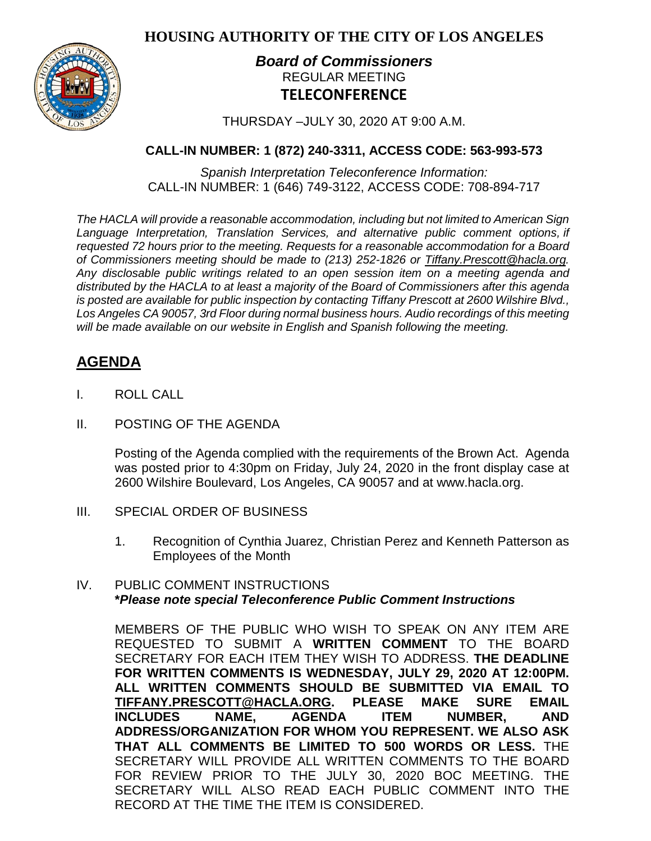**HOUSING AUTHORITY OF THE CITY OF LOS ANGELES**



## *Board of Commissioners* REGULAR MEETING **TELECONFERENCE**

THURSDAY –JULY 30, 2020 AT 9:00 A.M.

## **CALL-IN NUMBER: 1 (872) 240-3311, ACCESS CODE: 563-993-573**

*Spanish Interpretation Teleconference Information:* CALL-IN NUMBER: 1 (646) 749-3122, ACCESS CODE: 708-894-717

*The HACLA will provide a reasonable accommodation, including but not limited to American Sign Language Interpretation, Translation Services, and alternative public comment options, if requested 72 hours prior to the meeting. Requests for a reasonable accommodation for a Board of Commissioners meeting should be made to (213) 252-1826 or Tiffany.Prescott@hacla.org. Any disclosable public writings related to an open session item on a meeting agenda and distributed by the HACLA to at least a majority of the Board of Commissioners after this agenda is posted are available for public inspection by contacting Tiffany Prescott at 2600 Wilshire Blvd., Los Angeles CA 90057, 3rd Floor during normal business hours. Audio recordings of this meeting will be made available on our website in English and Spanish following the meeting.*

# **AGENDA**

- I. ROLL CALL
- II. POSTING OF THE AGENDA

Posting of the Agenda complied with the requirements of the Brown Act. Agenda was posted prior to 4:30pm on Friday, July 24, 2020 in the front display case at 2600 Wilshire Boulevard, Los Angeles, CA 90057 and at [www.hacla.org.](http://www.hacla.org/)

- III. SPECIAL ORDER OF BUSINESS
	- 1. Recognition of Cynthia Juarez, Christian Perez and Kenneth Patterson as Employees of the Month

### IV. PUBLIC COMMENT INSTRUCTIONS **\****Please note special Teleconference Public Comment Instructions*

MEMBERS OF THE PUBLIC WHO WISH TO SPEAK ON ANY ITEM ARE REQUESTED TO SUBMIT A **WRITTEN COMMENT** TO THE BOARD SECRETARY FOR EACH ITEM THEY WISH TO ADDRESS. **THE DEADLINE FOR WRITTEN COMMENTS IS WEDNESDAY, JULY 29, 2020 AT 12:00PM. ALL WRITTEN COMMENTS SHOULD BE SUBMITTED VIA EMAIL TO [TIFFANY.PRESCOTT@HACLA.ORG.](mailto:TIFFANY.PRESCOTT@HACLA.ORG) PLEASE MAKE SURE EMAIL INCLUDES NAME, AGENDA ITEM NUMBER, AND ADDRESS/ORGANIZATION FOR WHOM YOU REPRESENT. WE ALSO ASK THAT ALL COMMENTS BE LIMITED TO 500 WORDS OR LESS.** THE SECRETARY WILL PROVIDE ALL WRITTEN COMMENTS TO THE BOARD FOR REVIEW PRIOR TO THE JULY 30, 2020 BOC MEETING. THE SECRETARY WILL ALSO READ EACH PUBLIC COMMENT INTO THE RECORD AT THE TIME THE ITEM IS CONSIDERED.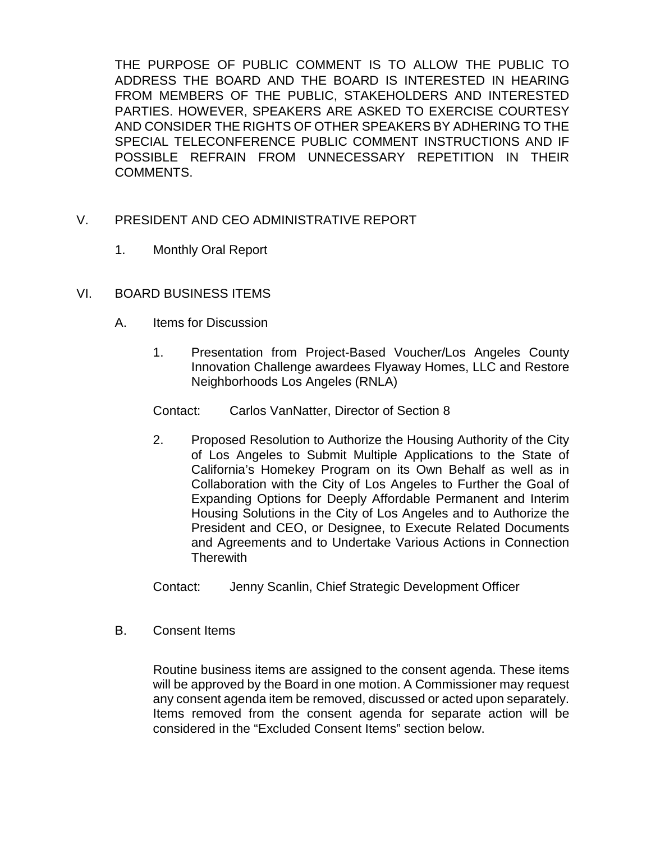THE PURPOSE OF PUBLIC COMMENT IS TO ALLOW THE PUBLIC TO ADDRESS THE BOARD AND THE BOARD IS INTERESTED IN HEARING FROM MEMBERS OF THE PUBLIC, STAKEHOLDERS AND INTERESTED PARTIES. HOWEVER, SPEAKERS ARE ASKED TO EXERCISE COURTESY AND CONSIDER THE RIGHTS OF OTHER SPEAKERS BY ADHERING TO THE SPECIAL TELECONFERENCE PUBLIC COMMENT INSTRUCTIONS AND IF POSSIBLE REFRAIN FROM UNNECESSARY REPETITION IN THEIR COMMENTS.

- V. PRESIDENT AND CEO ADMINISTRATIVE REPORT
	- 1. Monthly Oral Report
- VI. BOARD BUSINESS ITEMS
	- A. Items for Discussion
		- 1. Presentation from Project-Based Voucher/Los Angeles County Innovation Challenge awardees Flyaway Homes, LLC and Restore Neighborhoods Los Angeles (RNLA)
		- Contact: Carlos VanNatter, Director of Section 8
		- 2. Proposed Resolution to Authorize the Housing Authority of the City of Los Angeles to Submit Multiple Applications to the State of California's Homekey Program on its Own Behalf as well as in Collaboration with the City of Los Angeles to Further the Goal of Expanding Options for Deeply Affordable Permanent and Interim Housing Solutions in the City of Los Angeles and to Authorize the President and CEO, or Designee, to Execute Related Documents and Agreements and to Undertake Various Actions in Connection **Therewith**

Contact: Jenny Scanlin, Chief Strategic Development Officer

B. Consent Items

Routine business items are assigned to the consent agenda. These items will be approved by the Board in one motion. A Commissioner may request any consent agenda item be removed, discussed or acted upon separately. Items removed from the consent agenda for separate action will be considered in the "Excluded Consent Items" section below.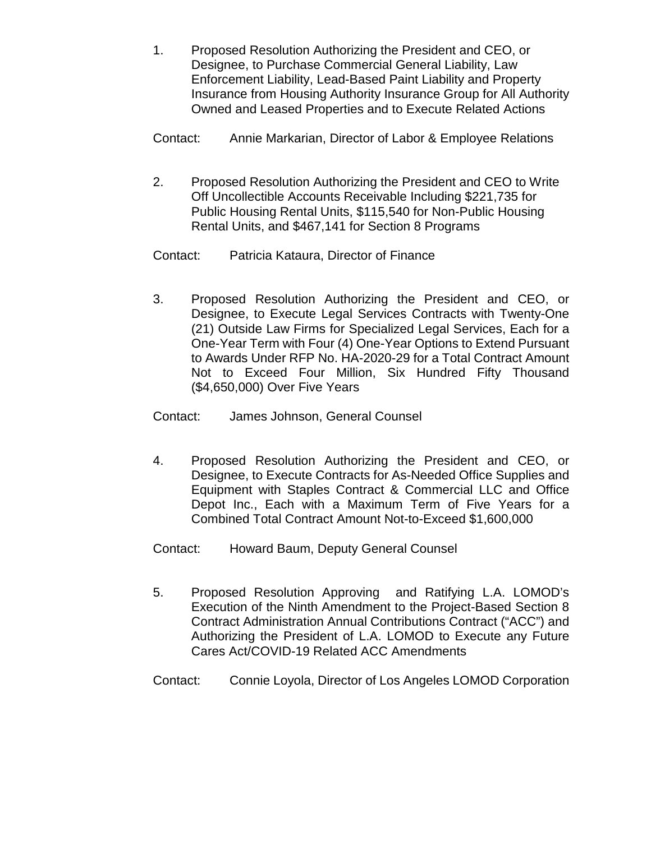- 1. Proposed Resolution Authorizing the President and CEO, or Designee, to Purchase Commercial General Liability, Law Enforcement Liability, Lead-Based Paint Liability and Property Insurance from Housing Authority Insurance Group for All Authority Owned and Leased Properties and to Execute Related Actions
- Contact: Annie Markarian, Director of Labor & Employee Relations
- 2. Proposed Resolution Authorizing the President and CEO to Write Off Uncollectible Accounts Receivable Including \$221,735 for Public Housing Rental Units, \$115,540 for Non-Public Housing Rental Units, and \$467,141 for Section 8 Programs
- Contact: Patricia Kataura, Director of Finance
- 3. Proposed Resolution Authorizing the President and CEO, or Designee, to Execute Legal Services Contracts with Twenty-One (21) Outside Law Firms for Specialized Legal Services, Each for a One-Year Term with Four (4) One-Year Options to Extend Pursuant to Awards Under RFP No. HA-2020-29 for a Total Contract Amount Not to Exceed Four Million, Six Hundred Fifty Thousand (\$4,650,000) Over Five Years
- Contact: James Johnson, General Counsel
- 4. Proposed Resolution Authorizing the President and CEO, or Designee, to Execute Contracts for As-Needed Office Supplies and Equipment with Staples Contract & Commercial LLC and Office Depot Inc., Each with a Maximum Term of Five Years for a Combined Total Contract Amount Not-to-Exceed \$1,600,000
- Contact: Howard Baum, Deputy General Counsel
- 5. Proposed Resolution Approving and Ratifying L.A. LOMOD's Execution of the Ninth Amendment to the Project-Based Section 8 Contract Administration Annual Contributions Contract ("ACC") and Authorizing the President of L.A. LOMOD to Execute any Future Cares Act/COVID-19 Related ACC Amendments
- Contact: Connie Loyola, Director of Los Angeles LOMOD Corporation